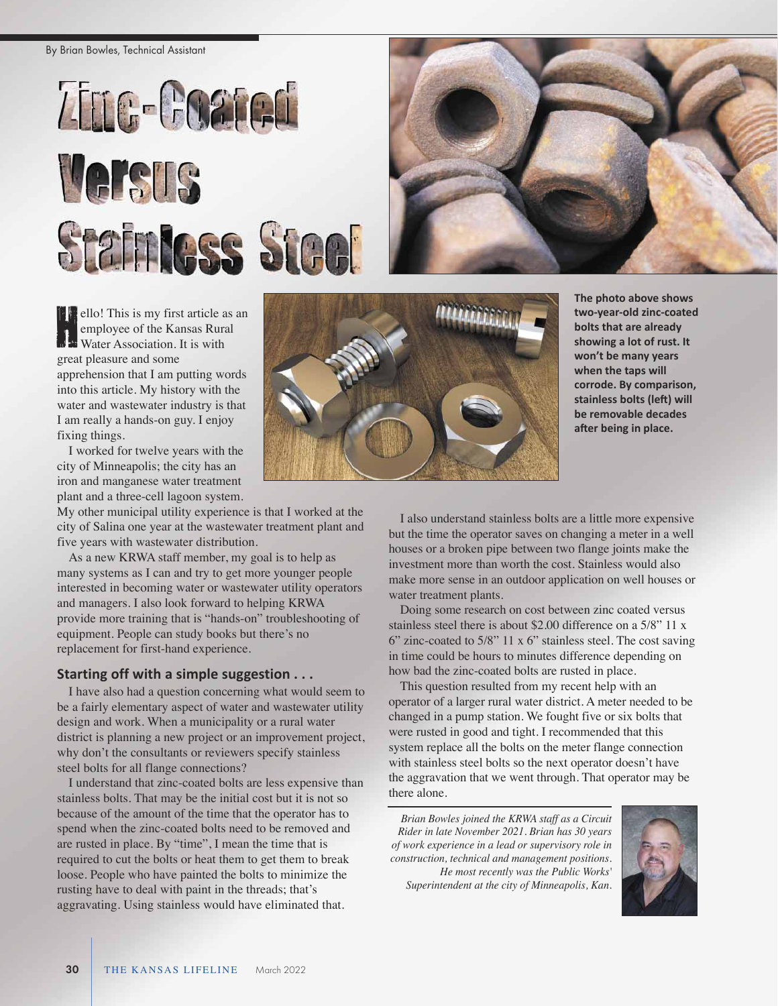By Brian Bowles, Technical Assistant





ello! This is my first article as an employee of the Kansas Rural<br>
He Water Association. It is with employee of the Kansas Rural Water Association. It is with great pleasure and some apprehension that I am putting words into this article. My history with the water and wastewater industry is that I am really a hands-on guy. I enjoy fixing things.

I worked for twelve years with the city of Minneapolis; the city has an iron and manganese water treatment plant and a three-cell lagoon system.

My other municipal utility experience is that I worked at the city of Salina one year at the wastewater treatment plant and five years with wastewater distribution.

As a new KRWA staff member, my goal is to help as many systems as I can and try to get more younger people interested in becoming water or wastewater utility operators and managers. I also look forward to helping KRWA provide more training that is "hands-on" troubleshooting of equipment. People can study books but there's no replacement for first-hand experience.

## **Starting off with a simple suggestion . . .**

I have also had a question concerning what would seem to be a fairly elementary aspect of water and wastewater utility design and work. When a municipality or a rural water district is planning a new project or an improvement project, why don't the consultants or reviewers specify stainless steel bolts for all flange connections?

I understand that zinc-coated bolts are less expensive than stainless bolts. That may be the initial cost but it is not so because of the amount of the time that the operator has to spend when the zinc-coated bolts need to be removed and are rusted in place. By "time", I mean the time that is required to cut the bolts or heat them to get them to break loose. People who have painted the bolts to minimize the rusting have to deal with paint in the threads; that's aggravating. Using stainless would have eliminated that.



**The photo above shows twoyearold zinccoated bolts that are already showing a lot of rust. It won't be many years when the taps will corrode. By comparison, stainless bolts (left) will be removable decades after being in place.** 

I also understand stainless bolts are a little more expensive but the time the operator saves on changing a meter in a well houses or a broken pipe between two flange joints make the investment more than worth the cost. Stainless would also make more sense in an outdoor application on well houses or water treatment plants.

Doing some research on cost between zinc coated versus stainless steel there is about \$2.00 difference on a 5/8" 11 x 6" zinc-coated to 5/8" 11 x 6" stainless steel. The cost saving in time could be hours to minutes difference depending on how bad the zinc-coated bolts are rusted in place.

This question resulted from my recent help with an operator of a larger rural water district. A meter needed to be changed in a pump station. We fought five or six bolts that were rusted in good and tight. I recommended that this system replace all the bolts on the meter flange connection with stainless steel bolts so the next operator doesn't have the aggravation that we went through. That operator may be there alone.

*Brian Bowles joined the KRWA staff as a Circuit Rider in late November 2021. Brian has 30 years of work experience in a lead or supervisory role in construction, technical and management positions. He most recently was the Public Works' Superintendent at the city of Minneapolis, Kan.*